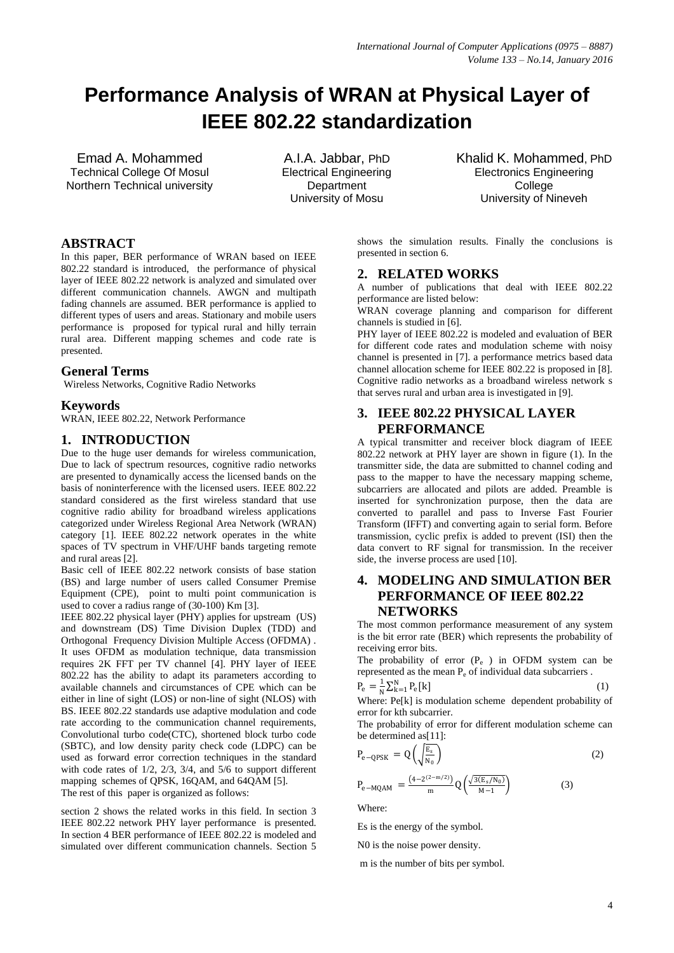# **Performance Analysis of WRAN at Physical Layer of IEEE 802.22 standardization**

Emad A. Mohammed Technical College Of Mosul Northern Technical university

A.I.A. Jabbar, PhD Electrical Engineering **Department** University of Mosu

Khalid K. Mohammed, PhD Electronics Engineering **College** University of Nineveh

# **ABSTRACT**

In this paper, BER performance of WRAN based on IEEE 802.22 standard is introduced, the performance of physical layer of IEEE 802.22 network is analyzed and simulated over different communication channels. AWGN and multipath fading channels are assumed. BER performance is applied to different types of users and areas. Stationary and mobile users performance is proposed for typical rural and hilly terrain rural area. Different mapping schemes and code rate is presented.

# **General Terms**

Wireless Networks, Cognitive Radio Networks

#### **Keywords**

WRAN, IEEE 802.22, Network Performance

# **1. INTRODUCTION**

Due to the huge user demands for wireless communication, Due to lack of spectrum resources, cognitive radio networks are presented to dynamically access the licensed bands on the basis of noninterference with the licensed users. IEEE 802.22 standard considered as the first wireless standard that use cognitive radio ability for broadband wireless applications categorized under Wireless Regional Area Network (WRAN) category [1]. IEEE 802.22 network operates in the white spaces of TV spectrum in VHF/UHF bands targeting remote and rural areas [2].

Basic cell of IEEE 802.22 network consists of base station (BS) and large number of users called Consumer Premise Equipment (CPE), point to multi point communication is used to cover a radius range of (30-100) Km [3].

IEEE 802.22 physical layer (PHY) applies for upstream (US) and downstream (DS) Time Division Duplex (TDD) and Orthogonal Frequency Division Multiple Access (OFDMA) . It uses OFDM as modulation technique, data transmission requires 2K FFT per TV channel [4]. PHY layer of IEEE 802.22 has the ability to adapt its parameters according to available channels and circumstances of CPE which can be either in line of sight (LOS) or non-line of sight (NLOS) with BS. IEEE 802.22 standards use adaptive modulation and code rate according to the communication channel requirements, Convolutional turbo code(CTC), shortened block turbo code (SBTC), and low density parity check code (LDPC) can be used as forward error correction techniques in the standard with code rates of 1/2, 2/3, 3/4, and 5/6 to support different mapping schemes of QPSK, 16QAM, and 64QAM [5].

The rest of this paper is organized as follows:

section 2 shows the related works in this field. In section 3 IEEE 802.22 network PHY layer performance is presented. In section 4 BER performance of IEEE 802.22 is modeled and simulated over different communication channels. Section 5

shows the simulation results. Finally the conclusions is presented in section 6.

#### **2. RELATED WORKS**

A number of publications that deal with IEEE 802.22 performance are listed below:

WRAN coverage planning and comparison for different channels is studied in [6].

PHY layer of IEEE 802.22 is modeled and evaluation of BER for different code rates and modulation scheme with noisy channel is presented in [7]. a performance metrics based data channel allocation scheme for IEEE 802.22 is proposed in [8]. Cognitive radio networks as a broadband wireless network s that serves rural and urban area is investigated in [9].

# **3. IEEE 802.22 PHYSICAL LAYER PERFORMANCE**

A typical transmitter and receiver block diagram of IEEE 802.22 network at PHY layer are shown in figure (1). In the transmitter side, the data are submitted to channel coding and pass to the mapper to have the necessary mapping scheme, subcarriers are allocated and pilots are added. Preamble is inserted for synchronization purpose, then the data are converted to parallel and pass to Inverse Fast Fourier Transform (IFFT) and converting again to serial form. Before transmission, cyclic prefix is added to prevent (ISI) then the data convert to RF signal for transmission. In the receiver side, the inverse process are used [10].

# **4. MODELING AND SIMULATION BER PERFORMANCE OF IEEE 802.22 NETWORKS**

The most common performance measurement of any system is the bit error rate (BER) which represents the probability of receiving error bits.

The probability of error  $(P_e)$  in OFDM system can be represented as the mean  $P_e$  of individual data subcarriers .

$$
P_e = \frac{1}{N} \sum_{k=1}^{N} P_e[k]
$$
 (1)

Where: Pe[k] is modulation scheme dependent probability of error for kth subcarrier.

The probability of error for different modulation scheme can be determined as[11]:

$$
P_{e-QPSK} = Q\left(\sqrt{\frac{E_s}{N_0}}\right) \tag{2}
$$

$$
P_{e-MQAM} = \frac{(4 - 2^{(2-m/2)})}{m} Q\left(\frac{\sqrt{3(E_s/N_0)}}{M - 1}\right)
$$
 (3)

Where:

Es is the energy of the symbol.

N0 is the noise power density.

m is the number of bits per symbol.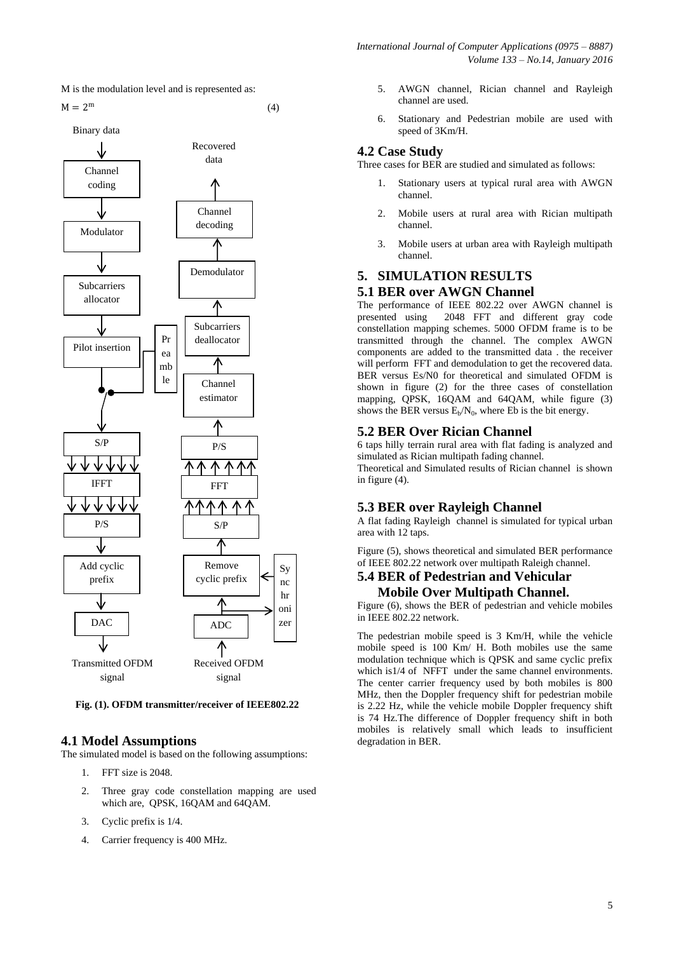

$$
M = 2^m \tag{4}
$$



**Fig. (1). OFDM transmitter/receiver of IEEE802.22**

# **4.1 Model Assumptions**

The simulated model is based on the following assumptions:

- 1. FFT size is 2048.
- 2. Three gray code constellation mapping are used which are, QPSK, 16QAM and 64QAM.
- 3. Cyclic prefix is 1/4.
- 4. Carrier frequency is 400 MHz.
- *International Journal of Computer Applications (0975 – 8887) Volume 133 – No.14, January 2016*
	- 5. AWGN channel, Rician channel and Rayleigh channel are used.
	- 6. Stationary and Pedestrian mobile are used with speed of 3Km/H.

#### **4.2 Case Study**

Three cases for BER are studied and simulated as follows:

- 1. Stationary users at typical rural area with AWGN channel.
- 2. Mobile users at rural area with Rician multipath channel.
- 3. Mobile users at urban area with Rayleigh multipath channel.

# **5. SIMULATION RESULTS**

# **5.1 BER over AWGN Channel**

The performance of IEEE 802.22 over AWGN channel is<br>presented using 2048 FFT and different gray code 2048 FFT and different gray code constellation mapping schemes. 5000 OFDM frame is to be transmitted through the channel. The complex AWGN components are added to the transmitted data . the receiver will perform FFT and demodulation to get the recovered data. BER versus Es/N0 for theoretical and simulated OFDM is shown in figure (2) for the three cases of constellation mapping, QPSK, 16QAM and 64QAM, while figure (3) shows the BER versus  $E_b/N_0$ , where Eb is the bit energy.

#### **5.2 BER Over Rician Channel**

6 taps hilly terrain rural area with flat fading is analyzed and simulated as Rician multipath fading channel.

Theoretical and Simulated results of Rician channel is shown in figure (4).

#### **5.3 BER over Rayleigh Channel**

A flat fading Rayleigh channel is simulated for typical urban area with 12 taps.

Figure (5), shows theoretical and simulated BER performance of IEEE 802.22 network over multipath Raleigh channel.

# **5.4 BER of Pedestrian and Vehicular Mobile Over Multipath Channel.**

Figure (6), shows the BER of pedestrian and vehicle mobiles in IEEE 802.22 network.

The pedestrian mobile speed is 3 Km/H, while the vehicle mobile speed is 100 Km/ H. Both mobiles use the same modulation technique which is QPSK and same cyclic prefix which is1/4 of NFFT under the same channel environments. The center carrier frequency used by both mobiles is 800 MHz, then the Doppler frequency shift for pedestrian mobile is 2.22 Hz, while the vehicle mobile Doppler frequency shift is 74 Hz.The difference of Doppler frequency shift in both mobiles is relatively small which leads to insufficient degradation in BER.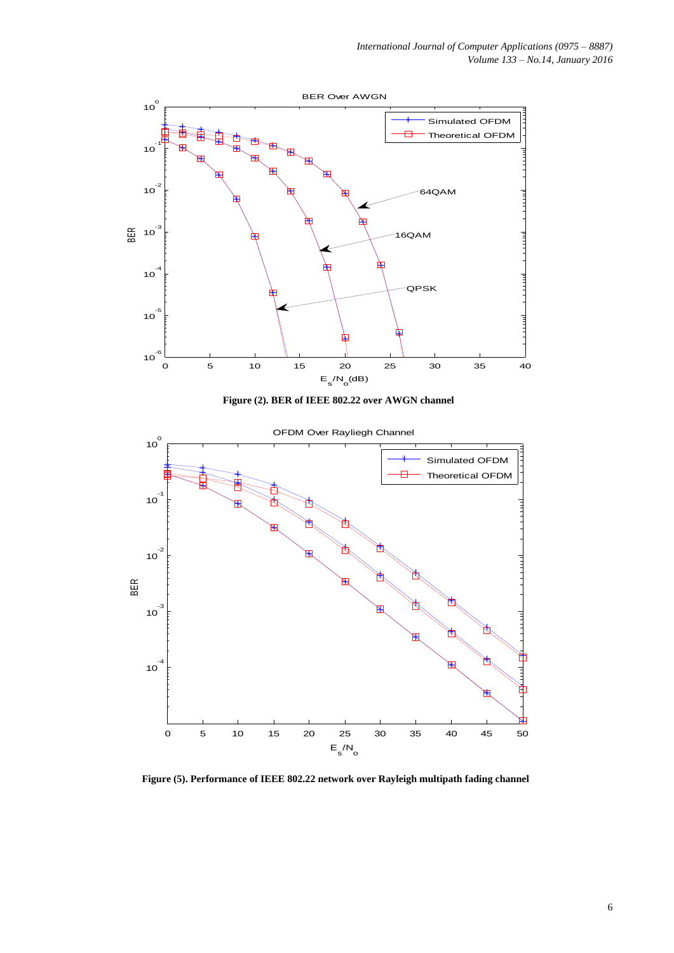

**Figure (5). Performance of IEEE 802.22 network over Rayleigh multipath fading channel**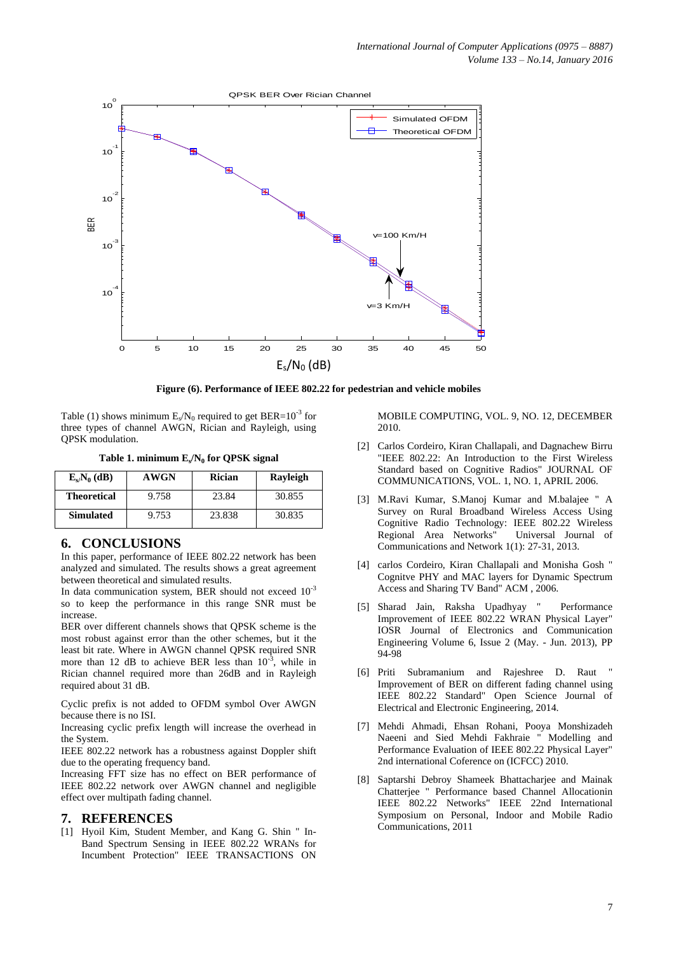

**Figure (6). Performance of IEEE 802.22 for pedestrian and vehicle mobiles** 

Table (1) shows minimum  $E_s/N_0$  required to get BER=10<sup>-3</sup> for three types of channel AWGN, Rician and Rayleigh, using QPSK modulation.

**Table 1. minimum E<sup>s</sup> /N<sup>0</sup> for QPSK signal**

| $E_s/N_0$ (dB)     | <b>AWGN</b> | Rician | Rayleigh |
|--------------------|-------------|--------|----------|
| <b>Theoretical</b> | 9.758       | 23.84  | 30.855   |
| <b>Simulated</b>   | 9.753       | 23.838 | 30.835   |

# **6. CONCLUSIONS**

In this paper, performance of IEEE 802.22 network has been analyzed and simulated. The results shows a great agreement between theoretical and simulated results.

In data communication system, BER should not exceed  $10^{-3}$ so to keep the performance in this range SNR must be increase.

BER over different channels shows that QPSK scheme is the most robust against error than the other schemes, but it the least bit rate. Where in AWGN channel QPSK required SNR more than 12 dB to achieve BER less than  $10^{-3}$ , while in Rician channel required more than 26dB and in Rayleigh required about 31 dB.

Cyclic prefix is not added to OFDM symbol Over AWGN because there is no ISI.

Increasing cyclic prefix length will increase the overhead in the System.

IEEE 802.22 network has a robustness against Doppler shift due to the operating frequency band.

Increasing FFT size has no effect on BER performance of IEEE 802.22 network over AWGN channel and negligible effect over multipath fading channel.

#### **7. REFERENCES**

[1] Hyoil Kim, Student Member, and Kang G. Shin " In-Band Spectrum Sensing in IEEE 802.22 WRANs for Incumbent Protection" IEEE TRANSACTIONS ON

MOBILE COMPUTING, VOL. 9, NO. 12, DECEMBER 2010.

- [2] Carlos Cordeiro, Kiran Challapali, and Dagnachew Birru "IEEE 802.22: An Introduction to the First Wireless Standard based on Cognitive Radios" JOURNAL OF COMMUNICATIONS, VOL. 1, NO. 1, APRIL 2006.
- [3] M.Ravi Kumar, S.Manoj Kumar and M.balajee " A Survey on Rural Broadband Wireless Access Using Cognitive Radio Technology: IEEE 802.22 Wireless Regional Area Networks" Universal Journal of Communications and Network 1(1): 27-31, 2013.
- [4] carlos Cordeiro, Kiran Challapali and Monisha Gosh " Cognitve PHY and MAC layers for Dynamic Spectrum Access and Sharing TV Band" ACM , 2006.
- [5] Sharad Jain, Raksha Upadhyay " Performance Improvement of IEEE 802.22 WRAN Physical Layer" IOSR Journal of Electronics and Communication Engineering Volume 6, Issue 2 (May. - Jun. 2013), PP 94-98
- [6] Priti Subramanium and Rajeshree D. Raut " Improvement of BER on different fading channel using IEEE 802.22 Standard" Open Science Journal of Electrical and Electronic Engineering, 2014.
- [7] Mehdi Ahmadi, Ehsan Rohani, Pooya Monshizadeh Naeeni and Sied Mehdi Fakhraie " Modelling and Performance Evaluation of IEEE 802.22 Physical Layer" 2nd international Coference on (ICFCC) 2010.
- [8] Saptarshi Debroy Shameek Bhattacharjee and Mainak Chatterjee " Performance based Channel Allocationin IEEE 802.22 Networks" IEEE 22nd International Symposium on Personal, Indoor and Mobile Radio Communications, 2011